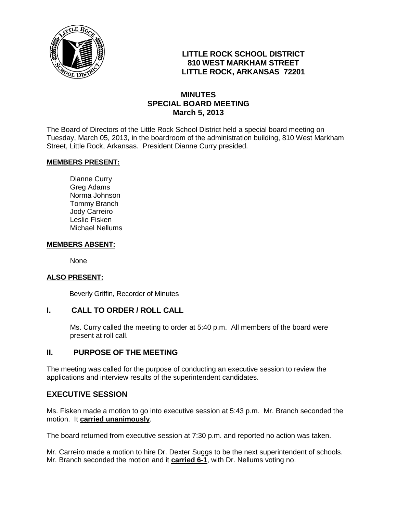

# **LITTLE ROCK SCHOOL DISTRICT 810 WEST MARKHAM STREET LITTLE ROCK, ARKANSAS 72201**

## **MINUTES SPECIAL BOARD MEETING March 5, 2013**

The Board of Directors of the Little Rock School District held a special board meeting on Tuesday, March 05, 2013, in the boardroom of the administration building, 810 West Markham Street, Little Rock, Arkansas. President Dianne Curry presided.

### **MEMBERS PRESENT:**

Dianne Curry Greg Adams Norma Johnson Tommy Branch Jody Carreiro Leslie Fisken Michael Nellums

#### **MEMBERS ABSENT:**

None

### **ALSO PRESENT:**

Beverly Griffin, Recorder of Minutes

### **I. CALL TO ORDER / ROLL CALL**

Ms. Curry called the meeting to order at 5:40 p.m. All members of the board were present at roll call.

### **II. PURPOSE OF THE MEETING**

The meeting was called for the purpose of conducting an executive session to review the applications and interview results of the superintendent candidates.

### **EXECUTIVE SESSION**

Ms. Fisken made a motion to go into executive session at 5:43 p.m. Mr. Branch seconded the motion. It **carried unanimously**.

The board returned from executive session at 7:30 p.m. and reported no action was taken.

Mr. Carreiro made a motion to hire Dr. Dexter Suggs to be the next superintendent of schools. Mr. Branch seconded the motion and it **carried 6-1**, with Dr. Nellums voting no.